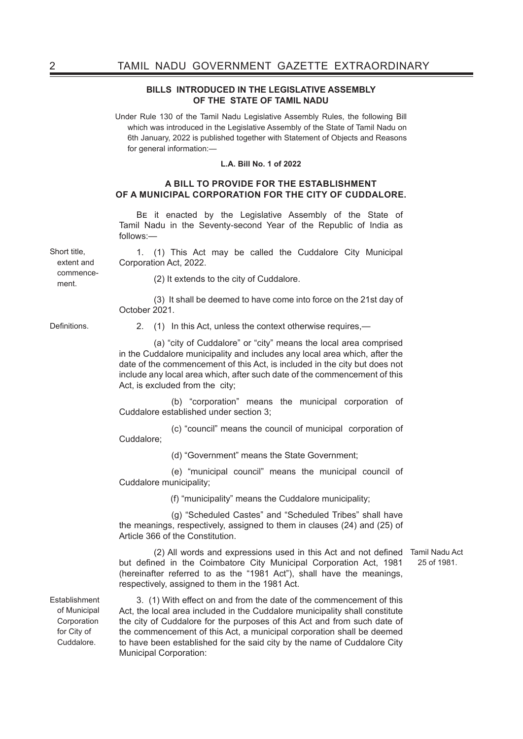#### **BILLS INTRODUCED IN THE LEGISLATIVE ASSEMBLY OF THE STATE OF TAMIL NADU**

Under Rule 130 of the Tamil Nadu Legislative Assembly Rules, the following Bill which was introduced in the Legislative Assembly of the State of Tamil Nadu on 6th January, 2022 is published together with Statement of Objects and Reasons for general information:—

#### **L.A. Bill No. 1 of 2022**

### **A BILL TO PROVIDE FOR THE ESTABLISHMENT OF A MUNICIPAL CORPORATION FOR THE CITY OF CUDDALORE.**

Be it enacted by the Legislative Assembly of the State of Tamil Nadu in the Seventy-second Year of the Republic of India as follows:—

1. (1) This Act may be called the Cuddalore City Municipal Corporation Act, 2022.

extent and commencement.

Short title,

(2) It extends to the city of Cuddalore.

(3) It shall be deemed to have come into force on the 21st day of October 2021.

Definitions. 2. (1) In this Act, unless the context otherwise requires,—

(a) "city of Cuddalore" or "city" means the local area comprised in the Cuddalore municipality and includes any local area which, after the date of the commencement of this Act, is included in the city but does not include any local area which, after such date of the commencement of this Act, is excluded from the city;

 (b) "corporation" means the municipal corporation of Cuddalore established under section 3;

 (c) "council" means the council of municipal corporation of Cuddalore;

(d) "Government" means the State Government;

 (e) "municipal council" means the municipal council of Cuddalore municipality;

(f) "municipality" means the Cuddalore municipality;

 (g) "Scheduled Castes" and "Scheduled Tribes" shall have the meanings, respectively, assigned to them in clauses (24) and (25) of Article 366 of the Constitution.

 (2) All words and expressions used in this Act and not defined Tamil Nadu Act but defined in the Coimbatore City Municipal Corporation Act, 1981 (hereinafter referred to as the "1981 Act"), shall have the meanings, respectively, assigned to them in the 1981 Act.

**Establishment** of Municipal **Corporation** for City of Cuddalore.

3. (1) With effect on and from the date of the commencement of this Act, the local area included in the Cuddalore municipality shall constitute the city of Cuddalore for the purposes of this Act and from such date of the commencement of this Act, a municipal corporation shall be deemed to have been established for the said city by the name of Cuddalore City Municipal Corporation:

25 of 1981.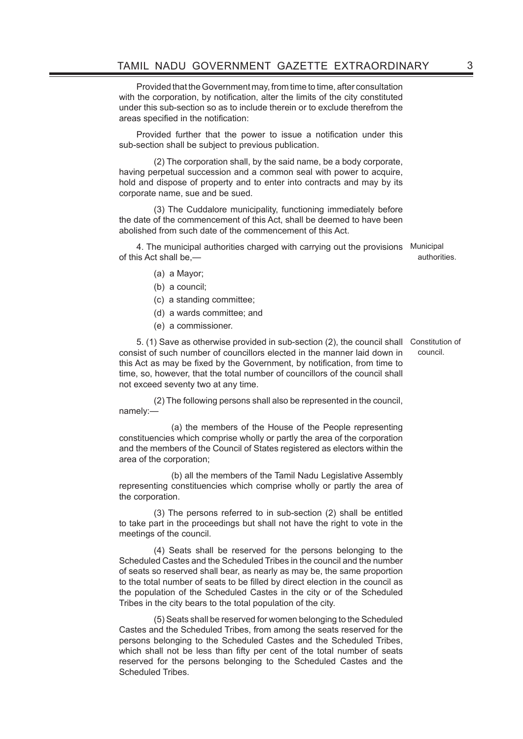Provided that the Government may, from time to time, after consultation with the corporation, by notification, alter the limits of the city constituted under this sub-section so as to include therein or to exclude therefrom the areas specified in the notification:

Provided further that the power to issue a notification under this sub-section shall be subject to previous publication.

(2) The corporation shall, by the said name, be a body corporate, having perpetual succession and a common seal with power to acquire, hold and dispose of property and to enter into contracts and may by its corporate name, sue and be sued.

(3) The Cuddalore municipality, functioning immediately before the date of the commencement of this Act, shall be deemed to have been abolished from such date of the commencement of this Act.

4. The municipal authorities charged with carrying out the provisions Municipal of this Act shall be,—

authorities.

- (a) a Mayor;
- (b) a council;
- (c) a standing committee;
- (d) a wards committee; and
- (e) a commissioner.

5. (1) Save as otherwise provided in sub-section (2), the council shall Constitution of consist of such number of councillors elected in the manner laid down in this Act as may be fixed by the Government, by notification, from time to time, so, however, that the total number of councillors of the council shall not exceed seventy two at any time. council.

(2) The following persons shall also be represented in the council, namely:—

 (a) the members of the House of the People representing constituencies which comprise wholly or partly the area of the corporation and the members of the Council of States registered as electors within the area of the corporation;

 (b) all the members of the Tamil Nadu Legislative Assembly representing constituencies which comprise wholly or partly the area of the corporation.

(3) The persons referred to in sub-section (2) shall be entitled to take part in the proceedings but shall not have the right to vote in the meetings of the council.

(4) Seats shall be reserved for the persons belonging to the Scheduled Castes and the Scheduled Tribes in the council and the number of seats so reserved shall bear, as nearly as may be, the same proportion to the total number of seats to be filled by direct election in the council as the population of the Scheduled Castes in the city or of the Scheduled Tribes in the city bears to the total population of the city.

(5) Seats shall be reserved for women belonging to the Scheduled Castes and the Scheduled Tribes, from among the seats reserved for the persons belonging to the Scheduled Castes and the Scheduled Tribes, which shall not be less than fifty per cent of the total number of seats reserved for the persons belonging to the Scheduled Castes and the Scheduled Tribes.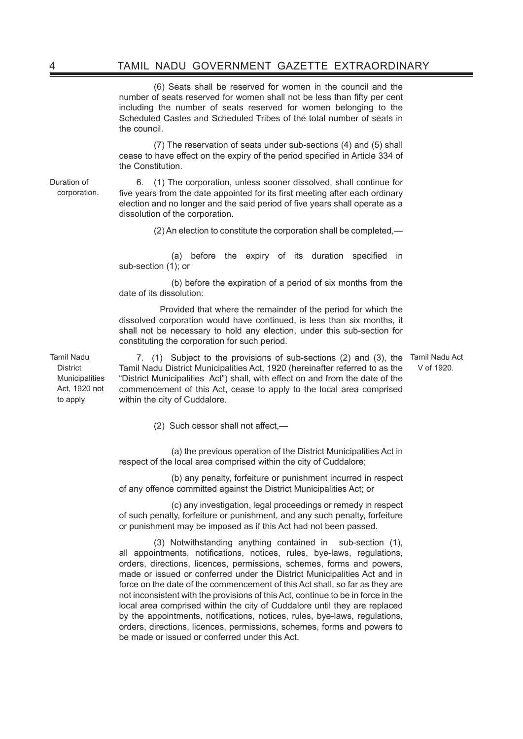(6) Seats shall be reserved for women in the council and the number of seats reserved for women shall not be less than fifty per cent including the number of seats reserved for women belonging to the Scheduled Castes and Scheduled Tribes of the total number of seats in the council.

(7) The reservation of seats under sub-sections (4) and (5) shall cease to have effect on the expiry of the period specified in Article 334 of the Constitution.

Duration of corporation.

6. (1) The corporation, unless sooner dissolved, shall continue for five years from the date appointed for its first meeting after each ordinary election and no longer and the said period of five years shall operate as a dissolution of the corporation.

(2) An election to constitute the corporation shall be completed,—

 (a) before the expiry of its duration specified in sub-section (1); or

 (b) before the expiration of a period of six months from the date of its dissolution:

 Provided that where the remainder of the period for which the dissolved corporation would have continued, is less than six months, it shall not be necessary to hold any election, under this sub-section for constituting the corporation for such period.

Tamil Nadu **District** Municipalities Act, 1920 not to apply

7. (1) Subject to the provisions of sub-sections (2) and (3), the Tamil Nadu Act Tamil Nadu District Municipalities Act, 1920 (hereinafter referred to as the "District Municipalities Act") shall, with effect on and from the date of the commencement of this Act, cease to apply to the local area comprised within the city of Cuddalore.

V of 1920.

 (2) Such cessor shall not affect,—

 (a) the previous operation of the District Municipalities Act in respect of the local area comprised within the city of Cuddalore;

 (b) any penalty, forfeiture or punishment incurred in respect of any offence committed against the District Municipalities Act; or

 (c) any investigation, legal proceedings or remedy in respect of such penalty, forfeiture or punishment, and any such penalty, forfeiture or punishment may be imposed as if this Act had not been passed.

(3) Notwithstanding anything contained in sub-section (1), all appointments, notifications, notices, rules, bye-laws, regulations, orders, directions, licences, permissions, schemes, forms and powers, made or issued or conferred under the District Municipalities Act and in force on the date of the commencement of this Act shall, so far as they are not inconsistent with the provisions of this Act, continue to be in force in the local area comprised within the city of Cuddalore until they are replaced by the appointments, notifications, notices, rules, bye-laws, regulations, orders, directions, licences, permissions, schemes, forms and powers to be made or issued or conferred under this Act.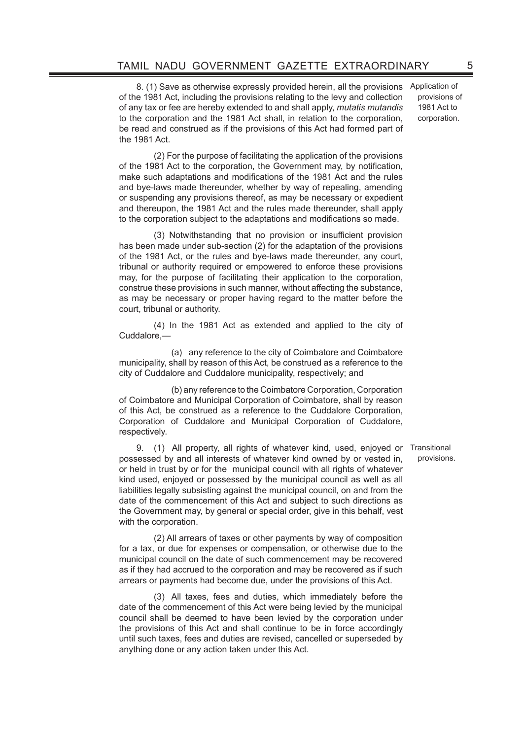8. (1) Save as otherwise expressly provided herein, all the provisions of the 1981 Act, including the provisions relating to the levy and collection of any tax or fee are hereby extended to and shall apply, *mutatis mutandis* to the corporation and the 1981 Act shall, in relation to the corporation, be read and construed as if the provisions of this Act had formed part of the 1981 Act.

Application of provisions of 1981 Act to corporation.

(2) For the purpose of facilitating the application of the provisions of the 1981 Act to the corporation, the Government may, by notification, make such adaptations and modifications of the 1981 Act and the rules and bye-laws made thereunder, whether by way of repealing, amending or suspending any provisions thereof, as may be necessary or expedient and thereupon, the 1981 Act and the rules made thereunder, shall apply to the corporation subject to the adaptations and modifications so made.

 (3) Notwithstanding that no provision or insufficient provision has been made under sub-section (2) for the adaptation of the provisions of the 1981 Act, or the rules and bye-laws made thereunder, any court, tribunal or authority required or empowered to enforce these provisions may, for the purpose of facilitating their application to the corporation, construe these provisions in such manner, without affecting the substance, as may be necessary or proper having regard to the matter before the court, tribunal or authority.

 (4) In the 1981 Act as extended and applied to the city of Cuddalore,—

 (a) any reference to the city of Coimbatore and Coimbatore municipality, shall by reason of this Act, be construed as a reference to the city of Cuddalore and Cuddalore municipality, respectively; and

 (b) any reference to the Coimbatore Corporation, Corporation of Coimbatore and Municipal Corporation of Coimbatore, shall by reason of this Act, be construed as a reference to the Cuddalore Corporation, Corporation of Cuddalore and Municipal Corporation of Cuddalore, respectively.

9. (1) All property, all rights of whatever kind, used, enjoyed or Transitional possessed by and all interests of whatever kind owned by or vested in, or held in trust by or for the municipal council with all rights of whatever kind used, enjoyed or possessed by the municipal council as well as all liabilities legally subsisting against the municipal council, on and from the date of the commencement of this Act and subject to such directions as the Government may, by general or special order, give in this behalf, vest with the corporation.

(2) All arrears of taxes or other payments by way of composition for a tax, or due for expenses or compensation, or otherwise due to the municipal council on the date of such commencement may be recovered as if they had accrued to the corporation and may be recovered as if such arrears or payments had become due, under the provisions of this Act.

(3) All taxes, fees and duties, which immediately before the date of the commencement of this Act were being levied by the municipal council shall be deemed to have been levied by the corporation under the provisions of this Act and shall continue to be in force accordingly until such taxes, fees and duties are revised, cancelled or superseded by anything done or any action taken under this Act.

provisions.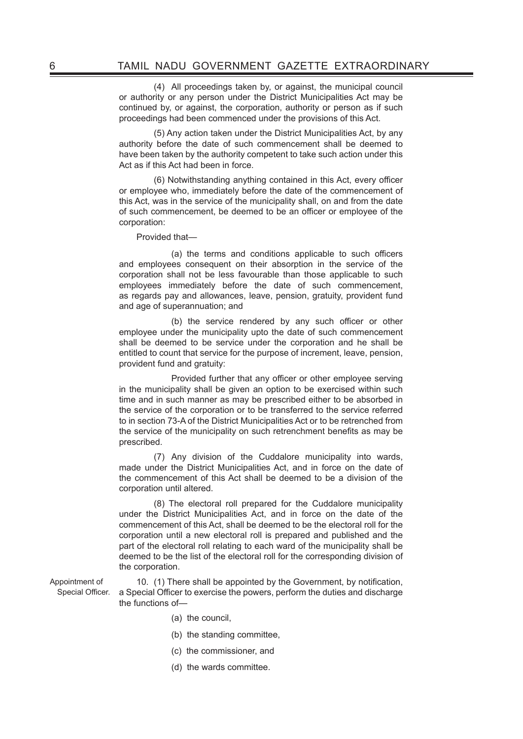(4) All proceedings taken by, or against, the municipal council or authority or any person under the District Municipalities Act may be continued by, or against, the corporation, authority or person as if such proceedings had been commenced under the provisions of this Act.

(5) Any action taken under the District Municipalities Act, by any authority before the date of such commencement shall be deemed to have been taken by the authority competent to take such action under this Act as if this Act had been in force.

 (6) Notwithstanding anything contained in this Act, every officer or employee who, immediately before the date of the commencement of this Act, was in the service of the municipality shall, on and from the date of such commencement, be deemed to be an officer or employee of the corporation:

Provided that—

 (a) the terms and conditions applicable to such officers and employees consequent on their absorption in the service of the corporation shall not be less favourable than those applicable to such employees immediately before the date of such commencement, as regards pay and allowances, leave, pension, gratuity, provident fund and age of superannuation; and

 (b) the service rendered by any such officer or other employee under the municipality upto the date of such commencement shall be deemed to be service under the corporation and he shall be entitled to count that service for the purpose of increment, leave, pension, provident fund and gratuity:

 Provided further that any officer or other employee serving in the municipality shall be given an option to be exercised within such time and in such manner as may be prescribed either to be absorbed in the service of the corporation or to be transferred to the service referred to in section 73-A of the District Municipalities Act or to be retrenched from the service of the municipality on such retrenchment benefits as may be prescribed.

(7) Any division of the Cuddalore municipality into wards, made under the District Municipalities Act, and in force on the date of the commencement of this Act shall be deemed to be a division of the corporation until altered.

 (8) The electoral roll prepared for the Cuddalore municipality under the District Municipalities Act, and in force on the date of the commencement of this Act, shall be deemed to be the electoral roll for the corporation until a new electoral roll is prepared and published and the part of the electoral roll relating to each ward of the municipality shall be deemed to be the list of the electoral roll for the corresponding division of the corporation.

Appointment of Special Officer. 10. (1) There shall be appointed by the Government, by notification, a Special Officer to exercise the powers, perform the duties and discharge the functions of—

- (a) the council,
- (b) the standing committee,
- (c) the commissioner, and
- (d) the wards committee.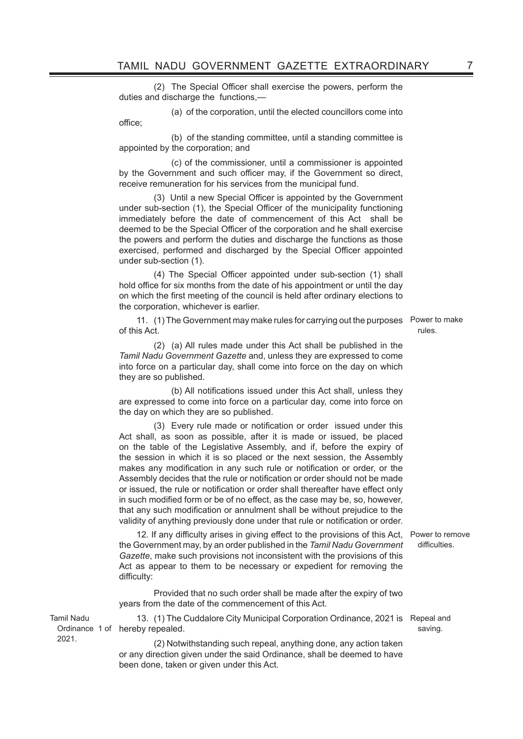(2) The Special Officer shall exercise the powers, perform the duties and discharge the functions.

(a) of the corporation, until the elected councillors come into

 (b) of the standing committee, until a standing committee is appointed by the corporation; and

office;

Tamil Nadu

2021.

 (c) of the commissioner, until a commissioner is appointed by the Government and such officer may, if the Government so direct, receive remuneration for his services from the municipal fund.

 (3) Until a new Special Officer is appointed by the Government under sub-section (1), the Special Officer of the municipality functioning immediately before the date of commencement of this Act shall be deemed to be the Special Officer of the corporation and he shall exercise the powers and perform the duties and discharge the functions as those exercised, performed and discharged by the Special Officer appointed under sub-section (1).

 (4) The Special Officer appointed under sub-section (1) shall hold office for six months from the date of his appointment or until the day on which the first meeting of the council is held after ordinary elections to the corporation, whichever is earlier.

11. (1) The Government may make rules for carrying out the purposes Power to make of this Act.

rules.

(2) (a) All rules made under this Act shall be published in the *Tamil Nadu Government Gazette* and, unless they are expressed to come into force on a particular day, shall come into force on the day on which they are so published.

 (b) All notifications issued under this Act shall, unless they are expressed to come into force on a particular day, come into force on the day on which they are so published.

 (3) Every rule made or notification or order issued under this Act shall, as soon as possible, after it is made or issued, be placed on the table of the Legislative Assembly, and if, before the expiry of the session in which it is so placed or the next session, the Assembly makes any modification in any such rule or notification or order, or the Assembly decides that the rule or notification or order should not be made or issued, the rule or notification or order shall thereafter have effect only in such modified form or be of no effect, as the case may be, so, however, that any such modification or annulment shall be without prejudice to the validity of anything previously done under that rule or notification or order.

12. If any difficulty arises in giving effect to the provisions of this Act, Power to remove the Government may, by an order published in the *Tamil Nadu Government Gazette*, make such provisions not inconsistent with the provisions of this Act as appear to them to be necessary or expedient for removing the difficulty:

Provided that no such order shall be made after the expiry of two years from the date of the commencement of this Act.

Ordinance 1 of hereby repealed. 13. (1) The Cuddalore City Municipal Corporation Ordinance, 2021 is Repeal and

> (2) Notwithstanding such repeal, anything done, any action taken or any direction given under the said Ordinance, shall be deemed to have been done, taken or given under this Act.

difficulties.

saving.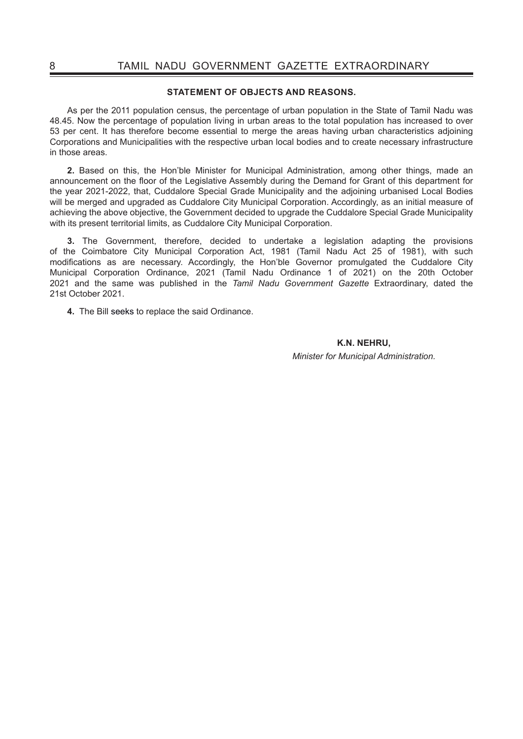#### **STATEMENT OF OBJECTS AND REASONS.**

As per the 2011 population census, the percentage of urban population in the State of Tamil Nadu was 48.45. Now the percentage of population living in urban areas to the total population has increased to over 53 per cent. It has therefore become essential to merge the areas having urban characteristics adjoining Corporations and Municipalities with the respective urban local bodies and to create necessary infrastructure in those areas.

**2.** Based on this, the Hon'ble Minister for Municipal Administration, among other things, made an announcement on the floor of the Legislative Assembly during the Demand for Grant of this department for the year 2021-2022, that, Cuddalore Special Grade Municipality and the adjoining urbanised Local Bodies will be merged and upgraded as Cuddalore City Municipal Corporation. Accordingly, as an initial measure of achieving the above objective, the Government decided to upgrade the Cuddalore Special Grade Municipality with its present territorial limits, as Cuddalore City Municipal Corporation.

**3.** The Government, therefore, decided to undertake a legislation adapting the provisions of the Coimbatore City Municipal Corporation Act, 1981 (Tamil Nadu Act 25 of 1981), with such modifications as are necessary. Accordingly, the Hon'ble Governor promulgated the Cuddalore City Municipal Corporation Ordinance, 2021 (Tamil Nadu Ordinance 1 of 2021) on the 20th October 2021 and the same was published in the *Tamil Nadu Government Gazette* Extraordinary, dated the 21st October 2021.

**4.** The Bill seeks to replace the said Ordinance.

**K.N. NEHRU,** *Minister for Municipal Administration.*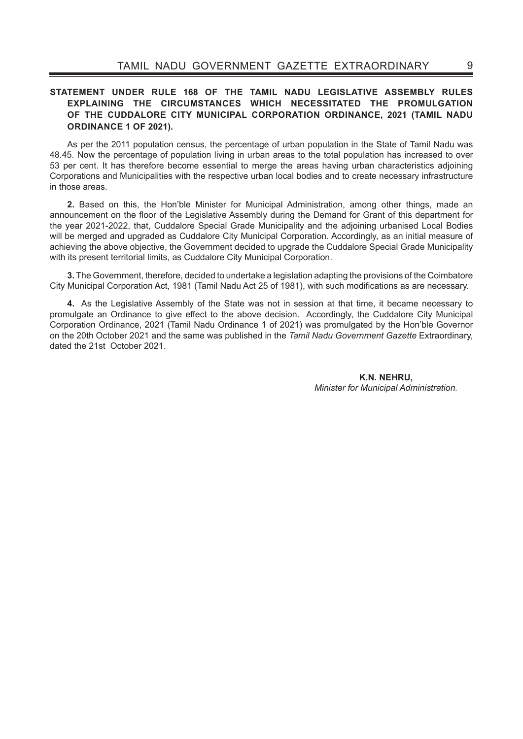## **STATEMENT UNDER RULE 168 OF THE TAMIL NADU LEGISLATIVE ASSEMBLY RULES EXPLAINING THE CIRCUMSTANCES WHICH NECESSITATED THE PROMULGATION OF THE CUDDALORE CITY MUNICIPAL CORPORATION ORDINANCE, 2021 (TAMIL NADU ORDINANCE 1 OF 2021).**

As per the 2011 population census, the percentage of urban population in the State of Tamil Nadu was 48.45. Now the percentage of population living in urban areas to the total population has increased to over 53 per cent. It has therefore become essential to merge the areas having urban characteristics adjoining Corporations and Municipalities with the respective urban local bodies and to create necessary infrastructure in those areas.

**2.** Based on this, the Hon'ble Minister for Municipal Administration, among other things, made an announcement on the floor of the Legislative Assembly during the Demand for Grant of this department for the year 2021-2022, that, Cuddalore Special Grade Municipality and the adjoining urbanised Local Bodies will be merged and upgraded as Cuddalore City Municipal Corporation. Accordingly, as an initial measure of achieving the above objective, the Government decided to upgrade the Cuddalore Special Grade Municipality with its present territorial limits, as Cuddalore City Municipal Corporation.

**3.** The Government, therefore, decided to undertake a legislation adapting the provisions of the Coimbatore City Municipal Corporation Act, 1981 (Tamil Nadu Act 25 of 1981), with such modifications as are necessary.

**4.** As the Legislative Assembly of the State was not in session at that time, it became necessary to promulgate an Ordinance to give effect to the above decision. Accordingly, the Cuddalore City Municipal Corporation Ordinance, 2021 (Tamil Nadu Ordinance 1 of 2021) was promulgated by the Hon'ble Governor on the 20th October 2021 and the same was published in the *Tamil Nadu Government Gazette* Extraordinary, dated the 21st October 2021.

> **K.N. NEHRU,** *Minister for Municipal Administration.*